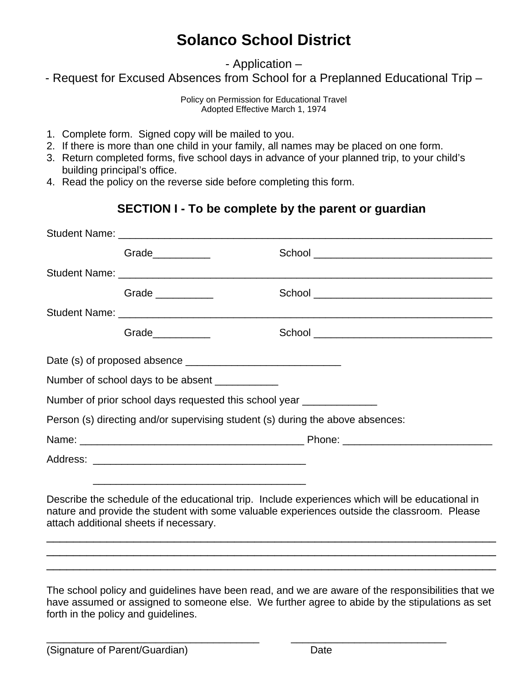# **Solanco School District**

- Application –

- Request for Excused Absences from School for a Preplanned Educational Trip –

Policy on Permission for Educational Travel Adopted Effective March 1, 1974

- 1. Complete form. Signed copy will be mailed to you.
- 2. If there is more than one child in your family, all names may be placed on one form.
- 3. Return completed forms, five school days in advance of your planned trip, to your child's building principal's office.
- 4. Read the policy on the reverse side before completing this form.

#### **SECTION I - To be complete by the parent or guardian**

| Grade__________                                |                                                                                                                                                                                                                                                                                                                                                                             |
|------------------------------------------------|-----------------------------------------------------------------------------------------------------------------------------------------------------------------------------------------------------------------------------------------------------------------------------------------------------------------------------------------------------------------------------|
|                                                |                                                                                                                                                                                                                                                                                                                                                                             |
| Grade __________                               |                                                                                                                                                                                                                                                                                                                                                                             |
|                                                |                                                                                                                                                                                                                                                                                                                                                                             |
| Grade                                          |                                                                                                                                                                                                                                                                                                                                                                             |
|                                                |                                                                                                                                                                                                                                                                                                                                                                             |
| Number of school days to be absent ___________ |                                                                                                                                                                                                                                                                                                                                                                             |
|                                                | Number of prior school days requested this school year ______________                                                                                                                                                                                                                                                                                                       |
|                                                | Person (s) directing and/or supervising student (s) during the above absences:                                                                                                                                                                                                                                                                                              |
|                                                |                                                                                                                                                                                                                                                                                                                                                                             |
|                                                |                                                                                                                                                                                                                                                                                                                                                                             |
| attach additional sheets if necessary.         | Describe the schedule of the educational trip. Include experiences which will be educational in<br>nature and provide the student with some valuable experiences outside the classroom. Please                                                                                                                                                                              |
|                                                | ,我们也不能会在这里,我们也不能会在这里,我们也不能会在这里,我们也不能会在这里,我们也不能会在这里,我们也不能会在这里,我们也不能会不能会不能会。""我们,我<br>,我们也不能会在这里,我们的人们就会在这里,我们的人们就会在这里,我们的人们就会在这里,我们的人们就会在这里,我们的人们就会在这里,我们的人们就会在这里,我们的<br>The school policy and guidelines have been read, and we are aware of the responsibilities that we<br>boys assumed ar assigned to company also. We further gares to objde by the stipulations as est |

have assumed or assigned to someone else. We further agree to abide by the stipulations as set forth in the policy and guidelines.

 $\overline{\phantom{a}}$  , and the contribution of the contribution of the contribution of the contribution of the contribution of  $\overline{\phantom{a}}$